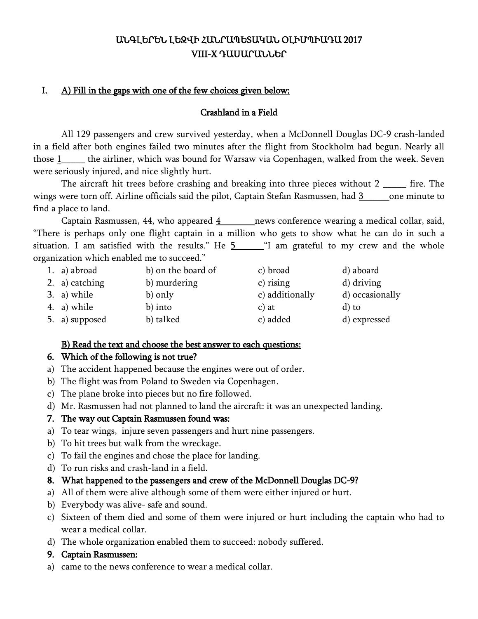# ԱՆԳԼԵՐԵՆ ԼԵԶՎԻ ՀԱՆՐԱՊԵՏԱԿԱՆ ՕԼԻՄՊԻԱԴԱ 2017 VIII-X ԴԱՍԱՐԱՆՆԵՐ

# I. A) Fill in the gaps with one of the few choices given below:

#### Crashland in a Field

All 129 passengers and crew survived yesterday, when a McDonnell Douglas DC-9 crash-landed in a field after both engines failed two minutes after the flight from Stockholm had begun. Nearly all those 1\_\_\_\_\_ the airliner, which was bound for Warsaw via Copenhagen, walked from the week. Seven were seriously injured, and nice slightly hurt.

The aircraft hit trees before crashing and breaking into three pieces without  $2$  \_\_\_\_\_\_ fire. The wings were torn off. Airline officials said the pilot, Captain Stefan Rasmussen, had 3\_\_\_\_\_ one minute to find a place to land.

Captain Rasmussen, 44, who appeared  $\frac{4}{1}$  news conference wearing a medical collar, said, "There is perhaps only one flight captain in a million who gets to show what he can do in such a situation. I am satisfied with the results." He  $5$  [1] am grateful to my crew and the whole organization which enabled me to succeed."

| 1. a) abroad   | b) on the board of | c) broad        | d) aboard       |
|----------------|--------------------|-----------------|-----------------|
| 2. a) catching | b) murdering       | $c)$ rising     | d) driving      |
| 3. a) while    | b) only            | c) additionally | d) occasionally |
| 4. a) while    | b) into            | $c)$ at         | d) to           |
| 5. a) supposed | b) talked          | c) added        | d) expressed    |

### B) Read the text and choose the best answer to each questions:

### 6. Which of the following is not true?

- a) The accident happened because the engines were out of order.
- b) The flight was from Poland to Sweden via Copenhagen.
- c) The plane broke into pieces but no fire followed.
- d) Mr. Rasmussen had not planned to land the aircraft: it was an unexpected landing.

### 7. The way out Captain Rasmussen found was:

- a) To tear wings, injure seven passengers and hurt nine passengers.
- b) To hit trees but walk from the wreckage.
- c) To fail the engines and chose the place for landing.
- d) To run risks and crash-land in a field.

### 8. What happened to the passengers and crew of the McDonnell Douglas DC-9?

- a) All of them were alive although some of them were either injured or hurt.
- b) Everybody was alive- safe and sound.
- c) Sixteen of them died and some of them were injured or hurt including the captain who had to wear a medical collar.
- d) The whole organization enabled them to succeed: nobody suffered.
- 9. Captain Rasmussen:
- a) came to the news conference to wear a medical collar.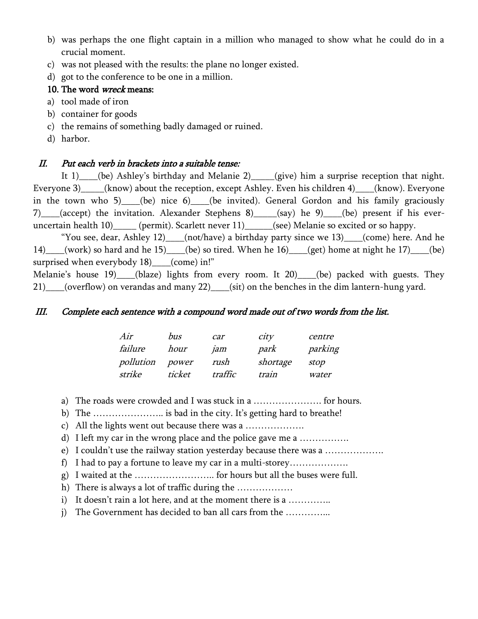- b) was perhaps the one flight captain in a million who managed to show what he could do in a crucial moment.
- c) was not pleased with the results: the plane no longer existed.
- d) got to the conference to be one in a million.

### 10. The word *wreck* means:

- a) tool made of iron
- b) container for goods
- c) the remains of something badly damaged or ruined.
- d) harbor.

# II. Put each verb in brackets into a suitable tense:

It 1) (be) Ashley's birthday and Melanie 2)\_\_\_\_(give) him a surprise reception that night. Everyone 3)\_\_\_\_\_(know) about the reception, except Ashley. Even his children 4)\_\_\_\_(know). Everyone in the town who 5) (be) nice 6) (be invited). General Gordon and his family graciously 7)\_\_\_\_(accept) the invitation. Alexander Stephens 8)\_\_\_\_\_(say) he 9)\_\_\_\_(be) present if his everuncertain health 10)\_\_\_\_\_ (permit). Scarlett never 11)\_\_\_\_\_(see) Melanie so excited or so happy.

"You see, dear, Ashley 12)\_\_\_\_(not/have) a birthday party since we 13)\_\_\_\_(come) here. And he 14)\_\_\_\_(work) so hard and he 15)\_\_\_\_(be) so tired. When he 16)\_\_\_\_(get) home at night he 17)\_\_\_\_(be) surprised when everybody 18) (come) in!"

Melanie's house 19)\_\_\_\_(blaze) lights from every room. It 20)\_\_\_\_(be) packed with guests. They 21)\_\_\_\_(overflow) on verandas and many 22)\_\_\_\_(sit) on the benches in the dim lantern-hung yard.

#### III. Complete each sentence with a compound word made out of two words from the list.

| Air       | bus    | car     | city     | centre  |
|-----------|--------|---------|----------|---------|
| failure   | hour   | jam     | park     | parking |
| pollution | power  | rush    | shortage | stop    |
| strike    | ticket | traffic | train    | water   |

a) The roads were crowded and I was stuck in a …………………. for hours.

b) The ………………….. is bad in the city. It's getting hard to breathe!

c) All the lights went out because there was a ……………….

d) I left my car in the wrong place and the police gave me a …………….

e) I couldn't use the railway station yesterday because there was a ……………….

- f) I had to pay a fortune to leave my car in a multi-storey……………….
- g) I waited at the …………………….. for hours but all the buses were full.

h) There is always a lot of traffic during the ………………

- i) It doesn't rain a lot here, and at the moment there is a ...............
- j) The Government has decided to ban all cars from the …………...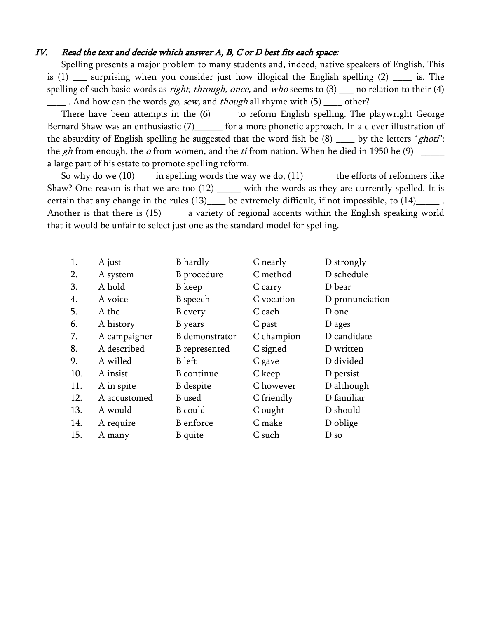#### IV. Read the text and decide which answer A, B, C or D best fits each space:

Spelling presents a major problem to many students and, indeed, native speakers of English. This is (1) \_\_\_ surprising when you consider just how illogical the English spelling (2) \_\_\_\_ is. The spelling of such basic words as *right, through, once,* and who seems to  $(3)$  \_\_\_ no relation to their  $(4)$  $\frac{1}{1}$ . And how can the words *go, sew*, and *though* all rhyme with (5)  $\frac{1}{1}$  other?

There have been attempts in the  $(6)$  to reform English spelling. The playwright George Bernard Shaw was an enthusiastic (7)\_\_\_\_\_\_ for a more phonetic approach. In a clever illustration of the absurdity of English spelling he suggested that the word fish be  $(8)$  \_\_\_\_ by the letters "*ghoti*": the gh from enough, the o from women, and the ti from nation. When he died in 1950 he  $(9)$ a large part of his estate to promote spelling reform.

So why do we  $(10)$  in spelling words the way we do,  $(11)$  \_\_\_\_\_\_ the efforts of reformers like Shaw? One reason is that we are too  $(12)$  \_\_\_\_\_ with the words as they are currently spelled. It is certain that any change in the rules  $(13)$  be extremely difficult, if not impossible, to  $(14)$  . Another is that there is (15)\_\_\_\_\_ a variety of regional accents within the English speaking world that it would be unfair to select just one as the standard model for spelling.

| 1.  | A just       | <b>B</b> hardly       | C nearly   | D strongly      |
|-----|--------------|-----------------------|------------|-----------------|
| 2.  | A system     | B procedure           | C method   | D schedule      |
| 3.  | A hold       | B keep                | C carry    | D bear          |
| 4.  | A voice      | B speech              | C vocation | D pronunciation |
| 5.  | A the        | <b>B</b> every        | C each     | D one           |
| 6.  | A history    | B years               | C past     | D ages          |
| 7.  | A campaigner | <b>B</b> demonstrator | C champion | D candidate     |
| 8.  | A described  | <b>B</b> represented  | C signed   | D written       |
| 9.  | A willed     | <b>B</b> left         | C gave     | D divided       |
| 10. | A insist     | <b>B</b> continue     | C keep     | D persist       |
| 11. | A in spite   | <b>B</b> despite      | C however  | D although      |
| 12. | A accustomed | <b>B</b> used         | C friendly | D familiar      |
| 13. | A would      | B could               | C ought    | D should        |
| 14. | A require    | <b>B</b> enforce      | C make     | D oblige        |
| 15. | A many       | <b>B</b> quite        | C such     | D so            |
|     |              |                       |            |                 |